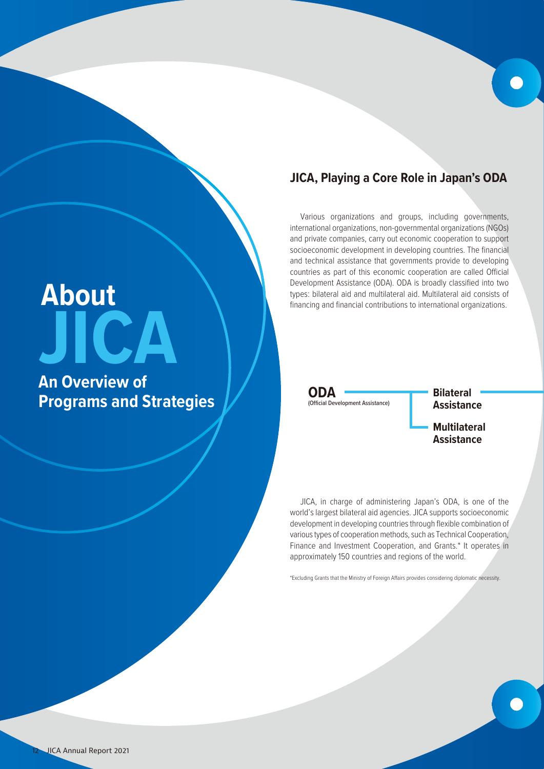# **JICA, Playing a Core Role in Japan's ODA**

Various organizations and groups, including governments, international organizations, non-governmental organizations (NGOs) and private companies, carry out economic cooperation to support socioeconomic development in developing countries. The financial and technical assistance that governments provide to developing countries as part of this economic cooperation are called Official Development Assistance (ODA). ODA is broadly classified into two types: bilateral aid and multilateral aid. Multilateral aid consists of financing and financial contributions to international organizations.

**ODA** (Official Development Assistance)

**Assistance Multilateral Assistance**

**Bilateral** 

JICA, in charge of administering Japan's ODA, is one of the world's largest bilateral aid agencies. JICA supports socioeconomic development in developing countries through flexible combination of various types of cooperation methods, such as Technical Cooperation, Finance and Investment Cooperation, and Grants.\* It operates in approximately 150 countries and regions of the world.

\*Excluding Grants that the Ministry of Foreign Affairs provides considering diplomatic necessity.

# **JICA About**

**An Overview of Programs and Strategies**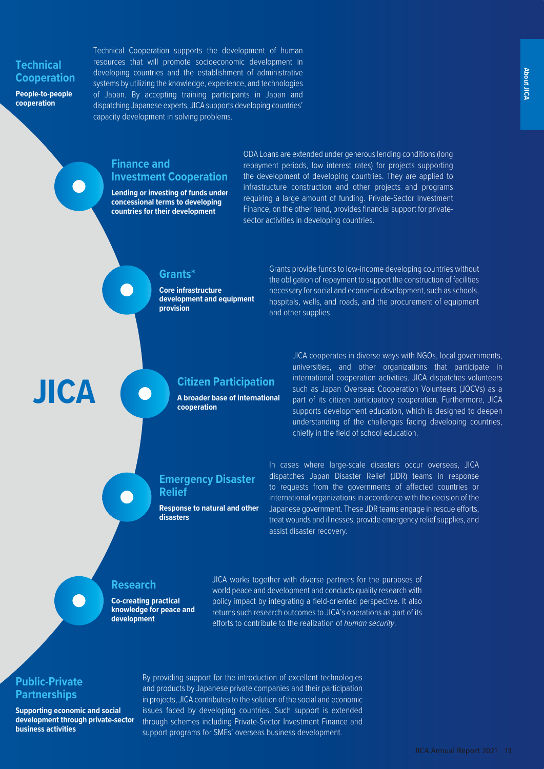## **Technical Cooperation**

**People-to-people cooperation**

Technical Cooperation supports the development of human resources that will promote socioeconomic development in developing countries and the establishment of administrative systems by utilizing the knowledge, experience, and technologies of Japan. By accepting training participants in Japan and dispatching Japanese experts, JICA supports developing countries' capacity development in solving problems.

## **Finance and Investment Cooperation**

**Lending or investing of funds under concessional terms to developing countries for their development**

ODA Loans are extended under generous lending conditions (long repayment periods, low interest rates) for projects supporting the development of developing countries. They are applied to infrastructure construction and other projects and programs requiring a large amount of funding. Private-Sector Investment Finance, on the other hand, provides financial support for privatesector activities in developing countries.

#### **Grants\***

**Core infrastructure development and equipment provision**

Grants provide funds to low-income developing countries without the obligation of repayment to support the construction of facilities necessary for social and economic development, such as schools, hospitals, wells, and roads, and the procurement of equipment and other supplies.

## **Citizen Participation**

**A broader base of international cooperation**

JICA cooperates in diverse ways with NGOs, local governments, universities, and other organizations that participate in international cooperation activities. JICA dispatches volunteers such as Japan Overseas Cooperation Volunteers (JOCVs) as a part of its citizen participatory cooperation. Furthermore, JICA supports development education, which is designed to deepen understanding of the challenges facing developing countries, chiefly in the field of school education.

## **Emergency Disaster Relief**

**Response to natural and other disasters**

In cases where large-scale disasters occur overseas, JICA dispatches Japan Disaster Relief (JDR) teams in response to requests from the governments of affected countries or international organizations in accordance with the decision of the Japanese government. These JDR teams engage in rescue efforts, treat wounds and illnesses, provide emergency relief supplies, and assist disaster recovery.

## **Research**

**Co-creating practical knowledge for peace and development**

JICA works together with diverse partners for the purposes of world peace and development and conducts quality research with policy impact by integrating a field-oriented perspective. It also returns such research outcomes to JICA's operations as part of its efforts to contribute to the realization of *human security*.

## **Public-Private Partnerships**

**JICA**

**Supporting economic and social development through private-sector business activities**

By providing support for the introduction of excellent technologies and products by Japanese private companies and their participation in projects, JICA contributes to the solution of the social and economic issues faced by developing countries. Such support is extended through schemes including Private-Sector Investment Finance and support programs for SMEs' overseas business development.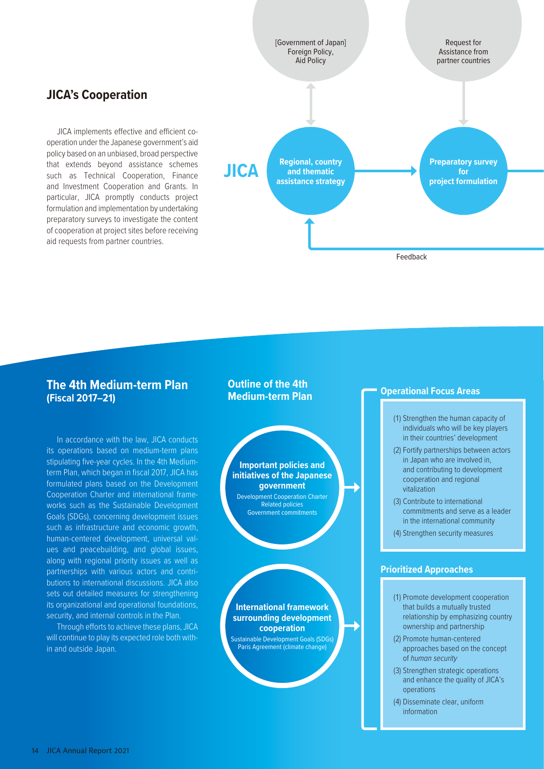

#### **The 4th Medium-term Plan (Fiscal 2017–21)**

**JICA's Cooperation**

aid requests from partner countries.

JICA implements effective and efficient cooperation under the Japanese government's aid policy based on an unbiased, broad perspective that extends beyond assistance schemes such as Technical Cooperation, Finance and Investment Cooperation and Grants. In particular, JICA promptly conducts project formulation and implementation by undertaking preparatory surveys to investigate the content of cooperation at project sites before receiving

In accordance with the law, JICA conducts its operations based on medium-term plans stipulating five-year cycles. In the 4th Mediumterm Plan, which began in fiscal 2017, JICA has formulated plans based on the Development Cooperation Charter and international frameworks such as the Sustainable Development Goals (SDGs), concerning development issues such as infrastructure and economic growth, human-centered development, universal values and peacebuilding, and global issues, along with regional priority issues as well as partnerships with various actors and contributions to international discussions. JICA also sets out detailed measures for strengthening its organizational and operational foundations, security, and internal controls in the Plan.

Through efforts to achieve these plans, JICA will continue to play its expected role both within and outside Japan.

#### **Outline of the 4th Medium-term Plan**

## **Important policies and initiatives of the Japanese government** Development Cooperation Charter

Related policies Government commitments

**International framework surrounding development cooperation** Sustainable Development Goals (SDGs) Paris Agreement (climate change)

#### **Operational Focus Areas**

- (1) Strengthen the human capacity of individuals who will be key players in their countries' development
- (2) Fortify partnerships between actors in Japan who are involved in, and contributing to development cooperation and regional vitalization
- (3) Contribute to international commitments and serve as a leader in the international community
- (4) Strengthen security measures

#### **Prioritized Approaches**

- (1) Promote development cooperation that builds a mutually trusted relationship by emphasizing country ownership and partnership
- (2) Promote human-centered approaches based on the concept of *human security*
- (3) Strengthen strategic operations and enhance the quality of JICA's operations
- (4) Disseminate clear, uniform information